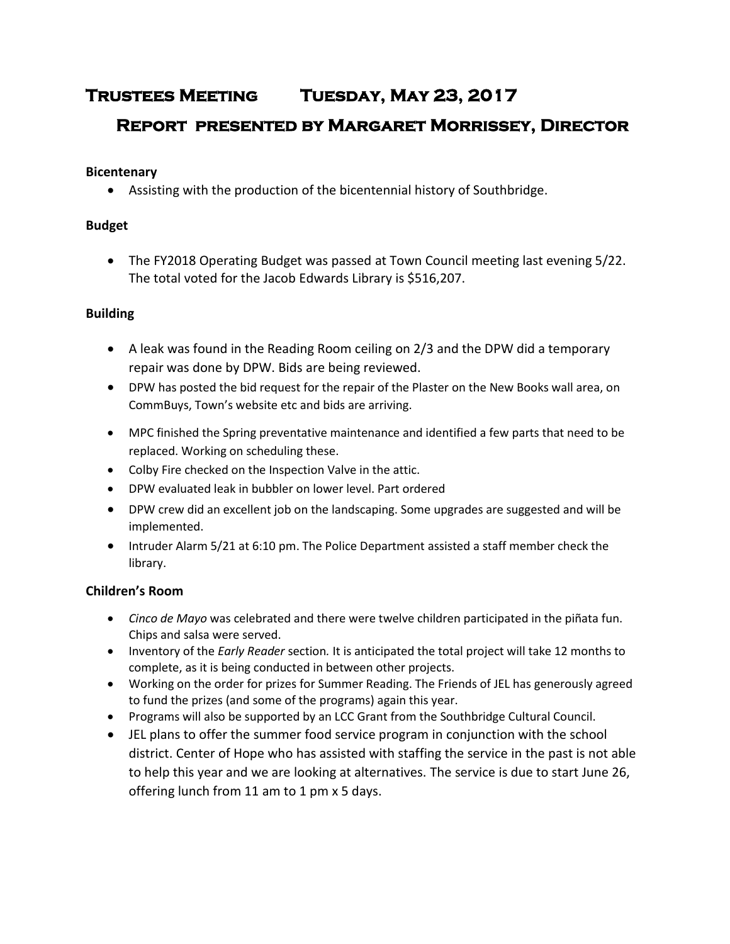# **Trustees Meeting Tuesday, May 23, 2017 Report presented by Margaret Morrissey, Director**

## **Bicentenary**

Assisting with the production of the bicentennial history of Southbridge.

## **Budget**

 The FY2018 Operating Budget was passed at Town Council meeting last evening 5/22. The total voted for the Jacob Edwards Library is \$516,207.

# **Building**

- A leak was found in the Reading Room ceiling on 2/3 and the DPW did a temporary repair was done by DPW. Bids are being reviewed.
- DPW has posted the bid request for the repair of the Plaster on the New Books wall area, on CommBuys, Town's website etc and bids are arriving.
- MPC finished the Spring preventative maintenance and identified a few parts that need to be replaced. Working on scheduling these.
- Colby Fire checked on the Inspection Valve in the attic.
- DPW evaluated leak in bubbler on lower level. Part ordered
- DPW crew did an excellent job on the landscaping. Some upgrades are suggested and will be implemented.
- Intruder Alarm 5/21 at 6:10 pm. The Police Department assisted a staff member check the library.

# **Children's Room**

- *Cinco de Mayo* was celebrated and there were twelve children participated in the piñata fun. Chips and salsa were served.
- Inventory of the *Early Reader* section*.* It is anticipated the total project will take 12 months to complete, as it is being conducted in between other projects.
- Working on the order for prizes for Summer Reading. The Friends of JEL has generously agreed to fund the prizes (and some of the programs) again this year.
- Programs will also be supported by an LCC Grant from the Southbridge Cultural Council.
- JEL plans to offer the summer food service program in conjunction with the school district. Center of Hope who has assisted with staffing the service in the past is not able to help this year and we are looking at alternatives. The service is due to start June 26, offering lunch from 11 am to 1 pm x 5 days.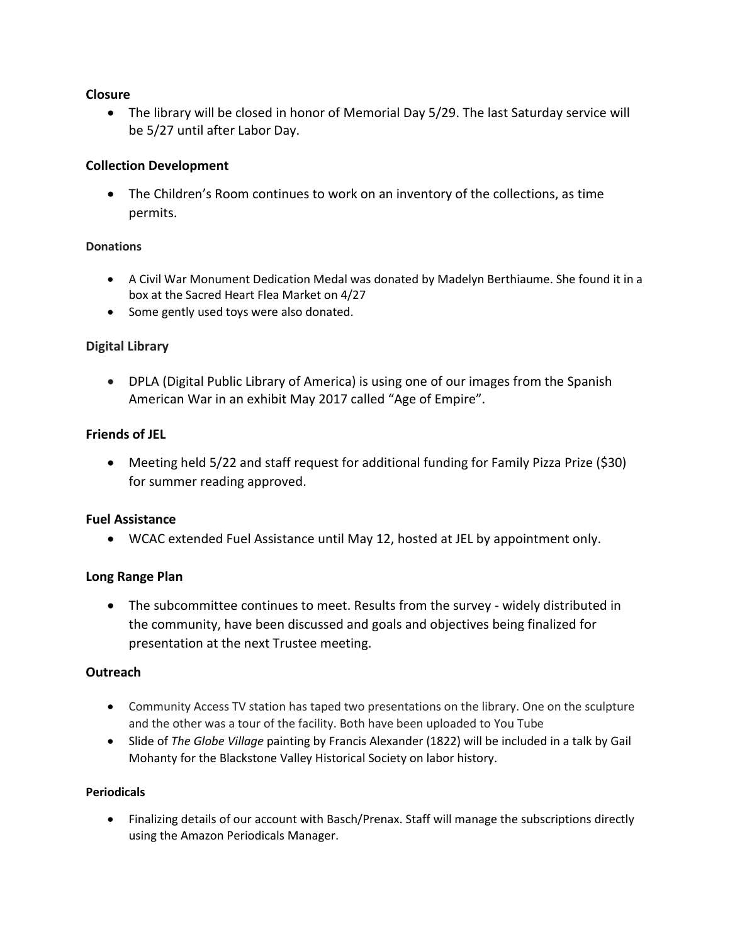### **Closure**

 The library will be closed in honor of Memorial Day 5/29. The last Saturday service will be 5/27 until after Labor Day.

## **Collection Development**

 The Children's Room continues to work on an inventory of the collections, as time permits.

#### **Donations**

- A Civil War Monument Dedication Medal was donated by Madelyn Berthiaume. She found it in a box at the Sacred Heart Flea Market on 4/27
- Some gently used toys were also donated.

### **Digital Library**

 DPLA (Digital Public Library of America) is using one of our images from the Spanish American War in an exhibit May 2017 called "Age of Empire".

### **Friends of JEL**

 Meeting held 5/22 and staff request for additional funding for Family Pizza Prize (\$30) for summer reading approved.

### **Fuel Assistance**

WCAC extended Fuel Assistance until May 12, hosted at JEL by appointment only.

### **Long Range Plan**

 The subcommittee continues to meet. Results from the survey - widely distributed in the community, have been discussed and goals and objectives being finalized for presentation at the next Trustee meeting.

### **Outreach**

- Community Access TV station has taped two presentations on the library. One on the sculpture and the other was a tour of the facility. Both have been uploaded to You Tube
- Slide of *The Globe Village* painting by Francis Alexander (1822) will be included in a talk by Gail Mohanty for the Blackstone Valley Historical Society on labor history.

#### **Periodicals**

 Finalizing details of our account with Basch/Prenax. Staff will manage the subscriptions directly using the Amazon Periodicals Manager.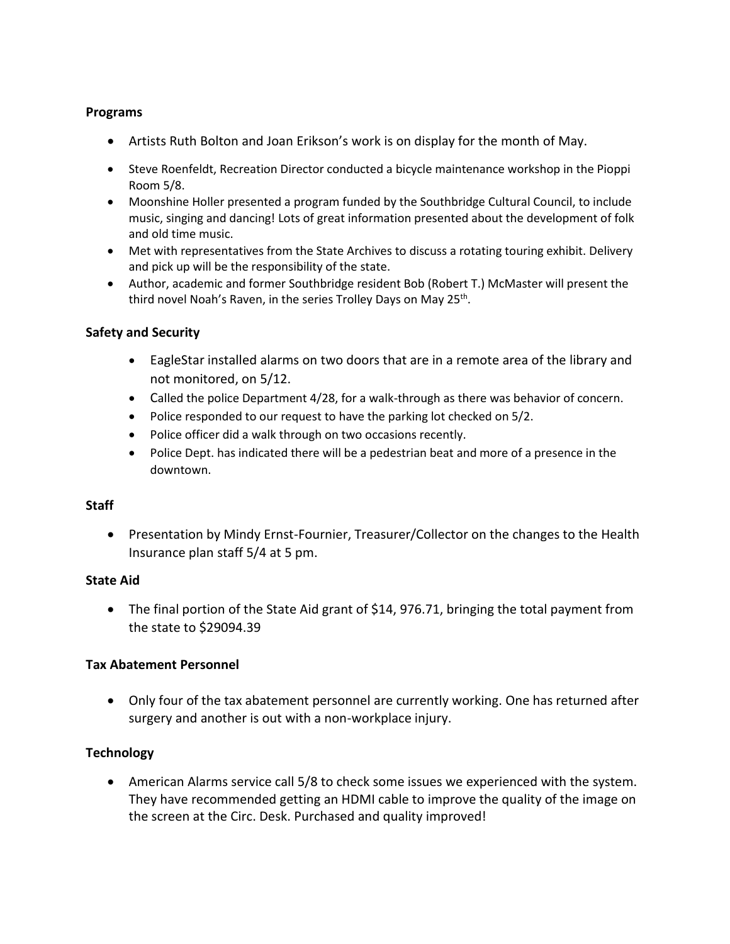### **Programs**

- Artists Ruth Bolton and Joan Erikson's work is on display for the month of May.
- Steve Roenfeldt, Recreation Director conducted a bicycle maintenance workshop in the Pioppi Room 5/8.
- Moonshine Holler presented a program funded by the Southbridge Cultural Council, to include music, singing and dancing! Lots of great information presented about the development of folk and old time music.
- Met with representatives from the State Archives to discuss a rotating touring exhibit. Delivery and pick up will be the responsibility of the state.
- Author, academic and former Southbridge resident Bob (Robert T.) McMaster will present the third novel Noah's Raven, in the series Trolley Days on May 25<sup>th</sup>.

### **Safety and Security**

- EagleStar installed alarms on two doors that are in a remote area of the library and not monitored, on 5/12.
- Called the police Department 4/28, for a walk-through as there was behavior of concern.
- Police responded to our request to have the parking lot checked on 5/2.
- Police officer did a walk through on two occasions recently.
- Police Dept. has indicated there will be a pedestrian beat and more of a presence in the downtown.

### **Staff**

• Presentation by Mindy Ernst-Fournier, Treasurer/Collector on the changes to the Health Insurance plan staff 5/4 at 5 pm.

### **State Aid**

• The final portion of the State Aid grant of \$14, 976.71, bringing the total payment from the state to \$29094.39

### **Tax Abatement Personnel**

 Only four of the tax abatement personnel are currently working. One has returned after surgery and another is out with a non-workplace injury.

### **Technology**

 American Alarms service call 5/8 to check some issues we experienced with the system. They have recommended getting an HDMI cable to improve the quality of the image on the screen at the Circ. Desk. Purchased and quality improved!